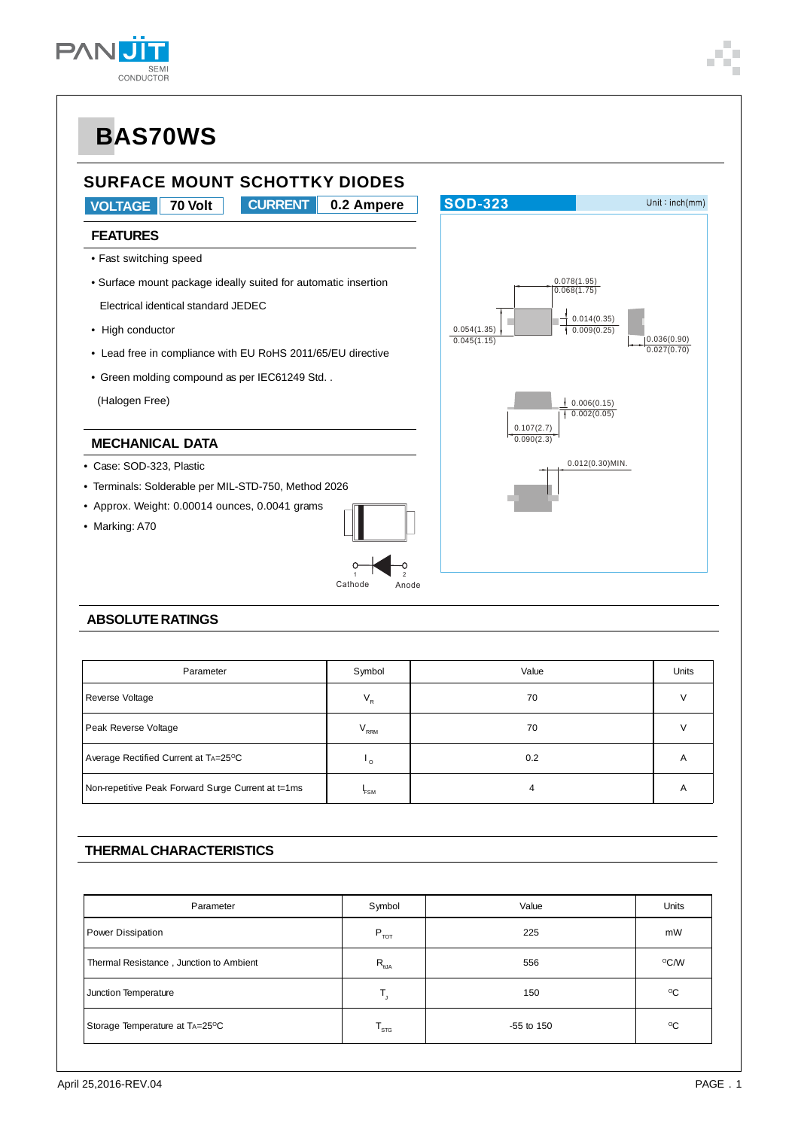



### **ABSOLUTE RATINGS**

| Parameter                                          | Symbol                    | Value | Units |
|----------------------------------------------------|---------------------------|-------|-------|
| Reverse Voltage                                    | $\mathsf{V}_{\mathsf{R}}$ | 70    |       |
| Peak Reverse Voltage                               | $V_{\rm RRM}$             | 70    |       |
| Average Rectified Current at TA=25°C               | ہ י                       | 0.2   | A     |
| Non-repetitive Peak Forward Surge Current at t=1ms | <b>FSM</b>                |       | A     |

1 2 Cathode Anode

### **THERMAL CHARACTERISTICS**

| Parameter                               | Symbol                    | Value        | Units        |
|-----------------------------------------|---------------------------|--------------|--------------|
| Power Dissipation                       | $P_{\tau \circ \tau}$     | 225          | mW           |
| Thermal Resistance, Junction to Ambient | $R_{\rm _{6JA}}$          | 556          | °C/W         |
| Junction Temperature                    | Т,                        | 150          | $^{\circ}$ C |
| Storage Temperature at TA=25°C          | $\mathsf{T}_{\text{STG}}$ | $-55$ to 150 | $^{\circ}$ C |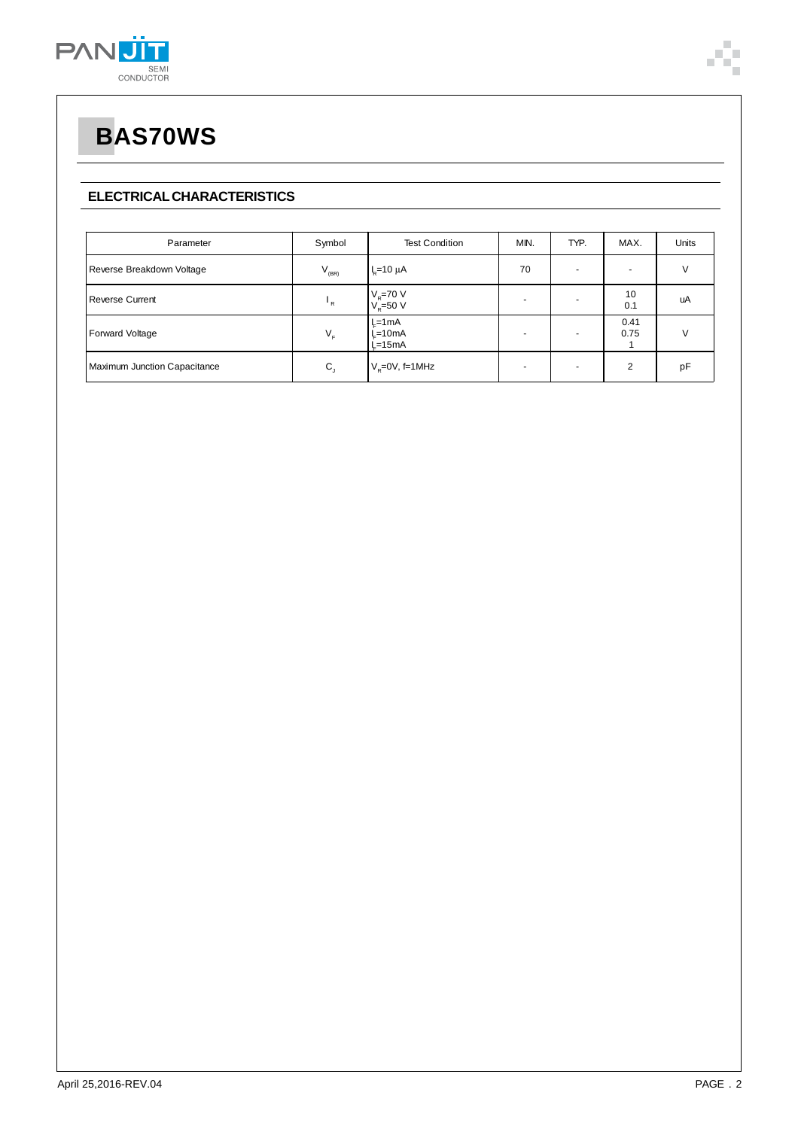

### **ELECTRICAL CHARACTERISTICS**

| Parameter                    | Symbol               | <b>Test Condition</b>             | MIN. | TYP.                     | MAX.           | Units  |
|------------------------------|----------------------|-----------------------------------|------|--------------------------|----------------|--------|
| Reverse Breakdown Voltage    | $V_{(BR)}$           | $Ie=10 \mu A$                     | 70   | $\overline{\phantom{0}}$ |                | $\vee$ |
| <b>Reverse Current</b>       | $\mathbf{F}$         | $V_R$ =70 V<br>$V_R$ =50 V        |      |                          | 10<br>0.1      | uA     |
| Forward Voltage              | $V_{\rm r}$          | $L=1mA$<br>$L = 10mA$<br>$L=15mA$ |      | -                        | 0.41<br>0.75   | $\vee$ |
| Maximum Junction Capacitance | $\mathbf{C}_{\perp}$ | $V_{\rm R}$ =0V, f=1MHz           |      | $\overline{a}$           | $\mathfrak{p}$ | рF     |

Î.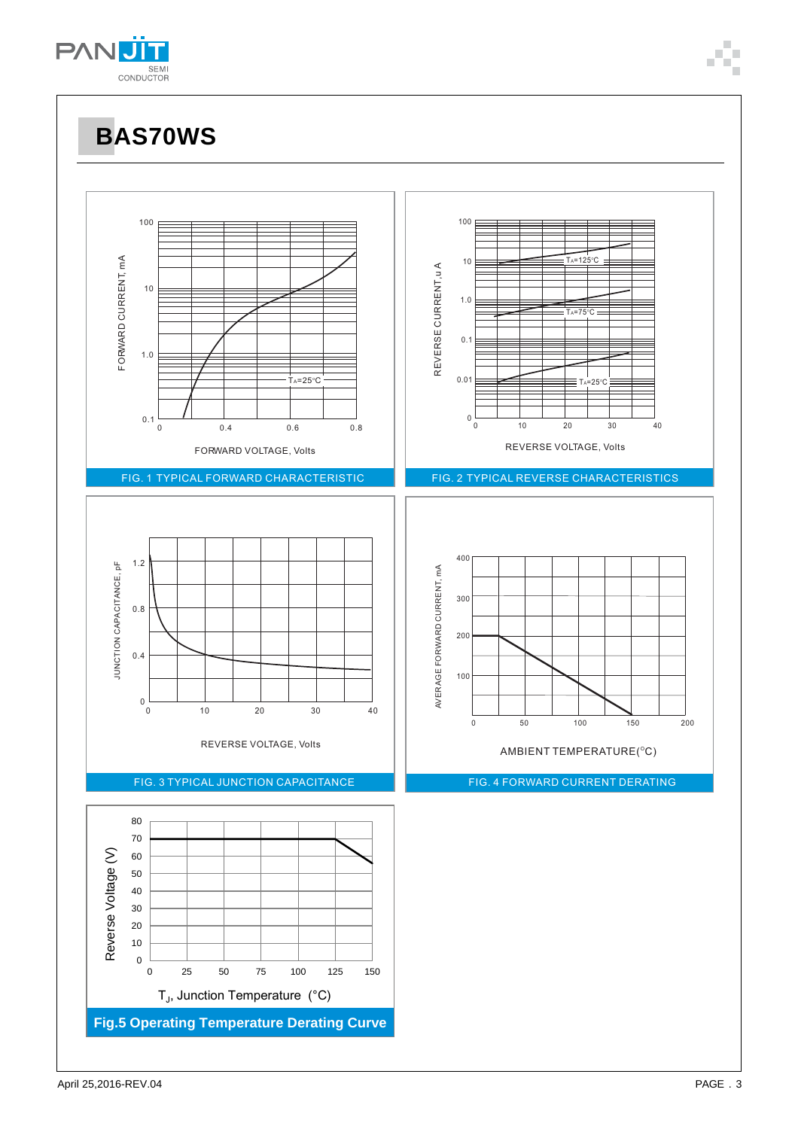

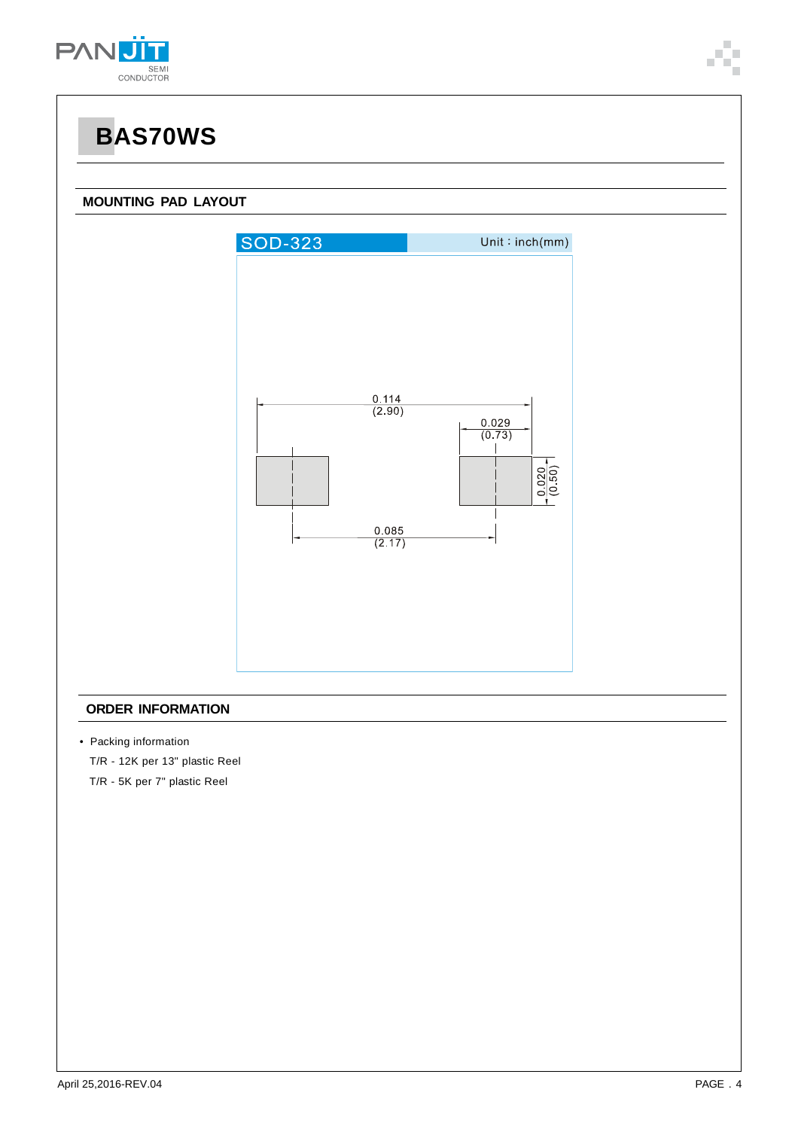

#### **MOUNTING PAD LAYOUT**



#### **ORDER INFORMATION**

• Packing information

T/R - 12K per 13" plastic Reel

T/R - 5K per 7" plastic Reel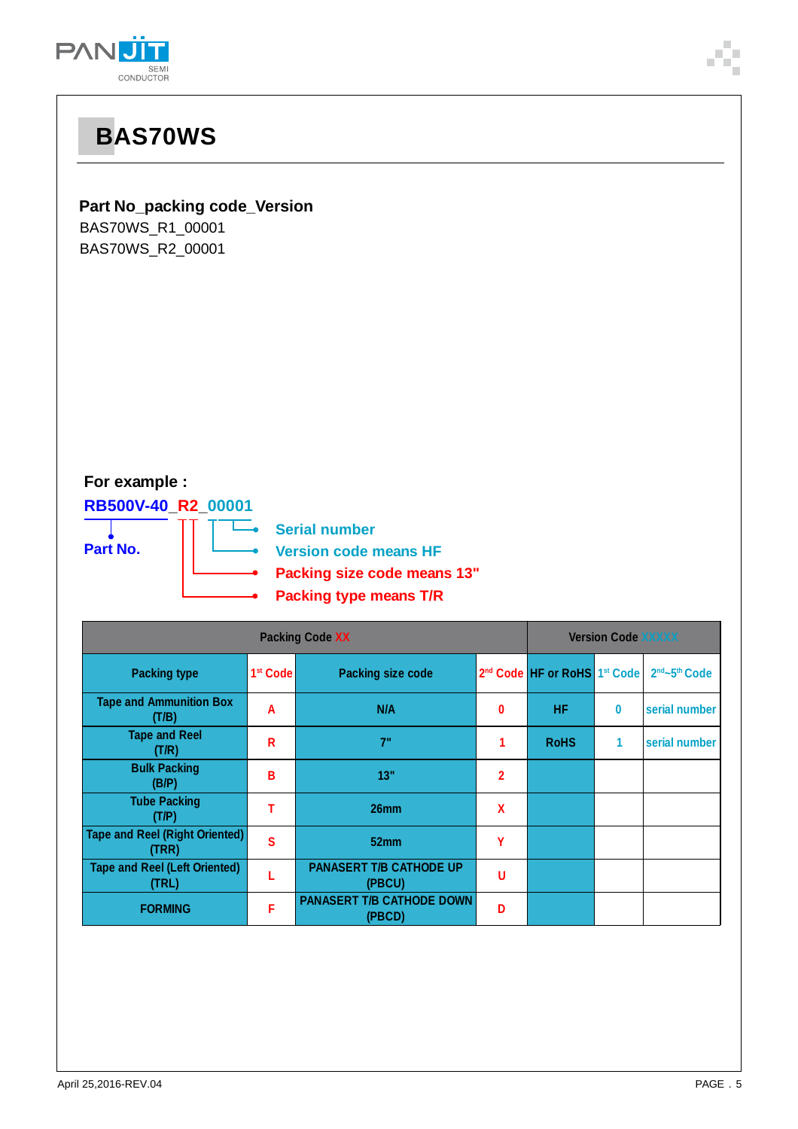



| <b>Packing Code XX</b>                         |                      |                                            | <b>Version Code XXXXX</b> |                              |   |                                       |
|------------------------------------------------|----------------------|--------------------------------------------|---------------------------|------------------------------|---|---------------------------------------|
| <b>Packing type</b>                            | 1 <sup>st</sup> Code | <b>Packing size code</b>                   |                           | 2nd Code HF or RoHS 1st Code |   | 2 <sup>nd</sup> ~5 <sup>th</sup> Code |
| <b>Tape and Ammunition Box</b><br>(T/B)        | A                    | N/A                                        | $\bf{0}$                  | <b>HF</b>                    | 0 | serial number                         |
| <b>Tape and Reel</b><br>(T/R)                  | R                    | 7"                                         | 1                         | <b>RoHS</b>                  | 1 | serial number                         |
| <b>Bulk Packing</b><br>(B/P)                   | в                    | 13"                                        | $\overline{2}$            |                              |   |                                       |
| <b>Tube Packing</b><br>(T/P)                   |                      | 26 <sub>mm</sub>                           | X                         |                              |   |                                       |
| <b>Tape and Reel (Right Oriented)</b><br>(TRR) | S                    | 52mm                                       | Υ                         |                              |   |                                       |
| <b>Tape and Reel (Left Oriented)</b><br>(TRL)  |                      | <b>PANASERT T/B CATHODE UP</b><br>(PBCU)   | U                         |                              |   |                                       |
| <b>FORMING</b>                                 | F                    | <b>PANASERT T/B CATHODE DOWN</b><br>(PBCD) | D                         |                              |   |                                       |